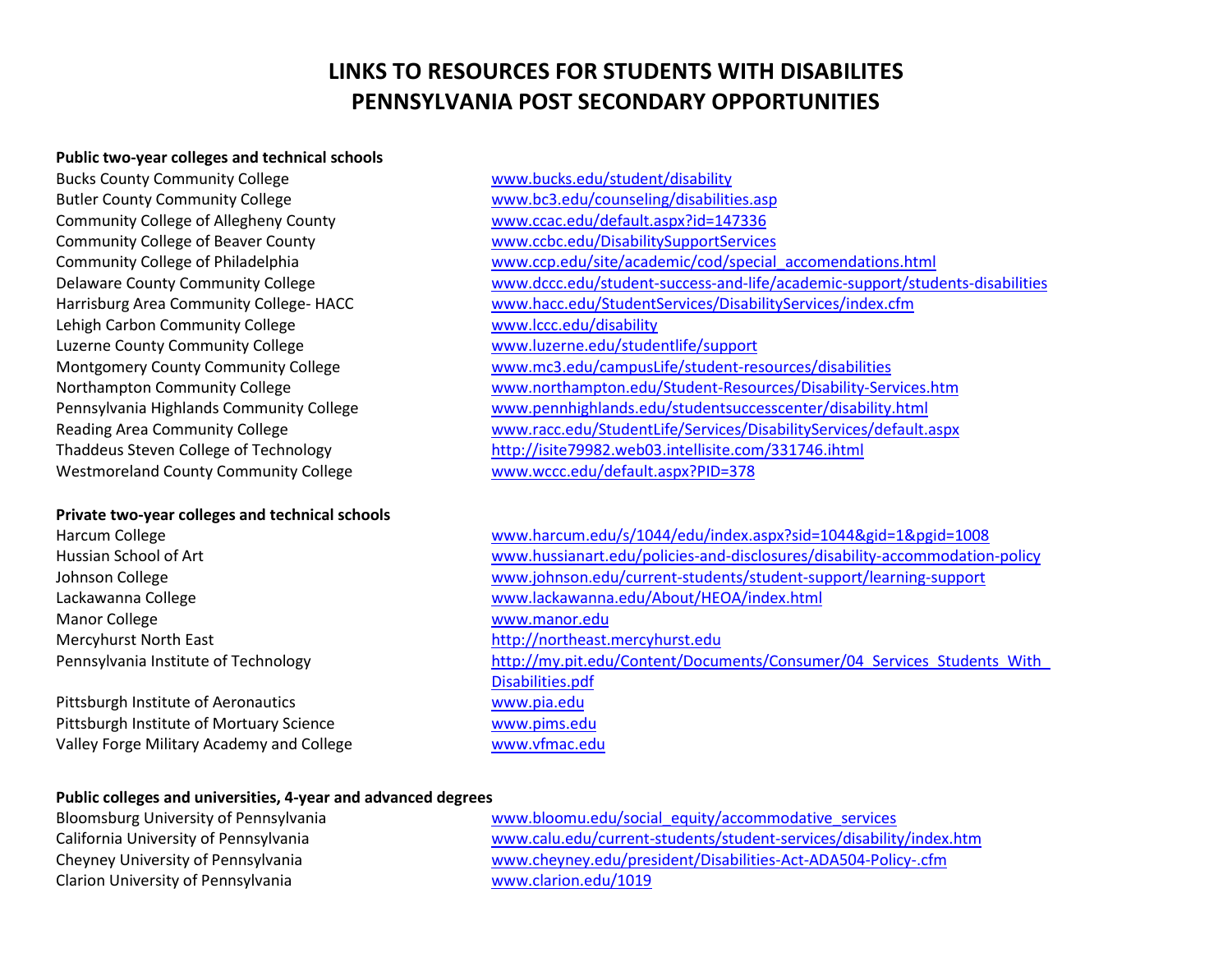# **LINKS TO RESOURCES FOR STUDENTS WITH DISABILITES PENNSYLVANIA POST SECONDARY OPPORTUNITIES**

## **Public two-year colleges and technical schools**

Bucks County Community College [www.bucks.edu/student/disability](http://www.bucks.edu/student/disability) Butler County Community College [www.bc3.edu/counseling/disabilities.asp](http://www.bc3.edu/counseling/disabilities.asp) Community College of Allegheny County [www.ccac.edu/default.aspx?id=147336](http://www.ccac.edu/default.aspx?id=147336) Community College of Beaver County Www.ccbc.edu/DisabilitySupportServices Lehigh Carbon Community College [www.lccc.edu/disability](http://www.lccc.edu/disability) Luzerne County Community College [www.luzerne.edu/studentlife/support](http://www.luzerne.edu/studentlife/support) Westmoreland County Community College [www.wccc.edu/default.aspx?PID=378](http://www.wccc.edu/default.aspx?PID=378)

#### **Private two-year colleges and technical schools**

Manor College [www.manor.edu](http://www.manor.edu/) Mercyhurst North East [http://northeast.mercyhurst.edu](http://northeast.mercyhurst.edu/)

Pittsburgh Institute of Aeronautics [www.pia.edu](http://www.pia.edu/) Pittsburgh Institute of Mortuary Science [www.pims.edu](http://www.pims.edu/) Valley Forge Military Academy and College [www.vfmac.edu](http://www.vfmac.edu/)

Community College of Philadelphia [www.ccp.edu/site/academic/cod/special\\_accomendations.html](http://www.ccp.edu/site/academic/cod/special_accomendations.html) Delaware County Community College [www.dccc.edu/student-success-and-life/academic-support/students-disabilities](http://www.dccc.edu/student-success-and-life/academic-support/students-disabilities) Harrisburg Area Community College- HACC [www.hacc.edu/StudentServices/DisabilityServices/index.cfm](http://www.hacc.edu/StudentServices/DisabilityServices/index.cfm) Montgomery County Community College [www.mc3.edu/campusLife/student-resources/disabilities](http://www.mc3.edu/campusLife/student-resources/disabilities) Northampton Community College [www.northampton.edu/Student-Resources/Disability-Services.htm](http://www.northampton.edu/Student-Resources/Disability-Services.htm) Pennsylvania Highlands Community College [www.pennhighlands.edu/studentsuccesscenter/disability.html](http://www.pennhighlands.edu/studentsuccesscenter/disability.html) Reading Area Community College [www.racc.edu/StudentLife/Services/DisabilityServices/default.aspx](http://www.racc.edu/StudentLife/Services/DisabilityServices/default.aspx) Thaddeus Steven College of Technology <http://isite79982.web03.intellisite.com/331746.ihtml>

Harcum College [www.harcum.edu/s/1044/edu/index.aspx?sid=1044&gid=1&pgid=1008](http://www.harcum.edu/s/1044/edu/index.aspx?sid=1044&gid=1&pgid=1008) Hussian School of Art [www.hussianart.edu/policies-and-disclosures/disability-accommodation-policy](http://www.hussianart.edu/policies-and-disclosures/disability-accommodation-policy) Johnson College [www.johnson.edu/current-students/student-support/learning-support](http://www.johnson.edu/current-students/student-support/learning-support) Lackawanna College [www.lackawanna.edu/About/HEOA/index.html](http://www.lackawanna.edu/About/HEOA/index.html) Pennsylvania Institute of Technology [http://my.pit.edu/Content/Documents/Consumer/04\\_Services\\_Students\\_With\\_](http://my.pit.edu/Content/Documents/Consumer/04_Services_Students_With_Disabilities.pdf) [Disabilities.pdf](http://my.pit.edu/Content/Documents/Consumer/04_Services_Students_With_Disabilities.pdf)

# **Public colleges and universities, 4-year and advanced degrees**

Clarion University of Pennsylvania [www.clarion.edu/1019](http://www.clarion.edu/1019)

Bloomsburg University of Pennsylvania example and the [www.bloomu.edu/social\\_equity/accommodative\\_services](http://www.bloomu.edu/social_equity/accommodative_services) California University of Pennsylvania [www.calu.edu/current-students/student-services/disability/index.htm](http://www.calu.edu/current-students/student-services/disability/index.htm) Cheyney University of Pennsylvania [www.cheyney.edu/president/Disabilities-Act-ADA504-Policy-.cfm](http://www.cheyney.edu/president/Disabilities-Act-ADA504-Policy-.cfm)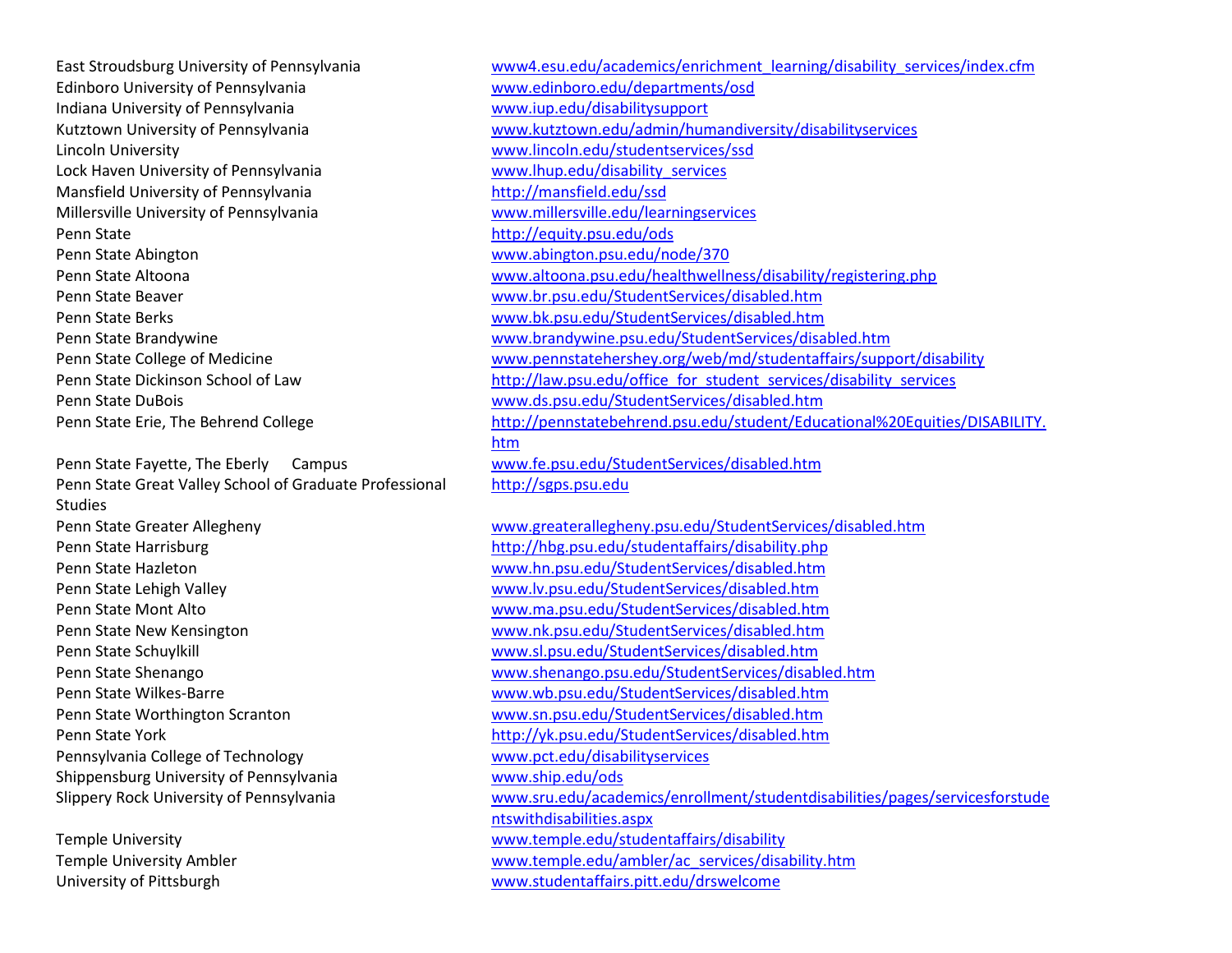Edinboro University of Pennsylvania [www.edinboro.edu/departments/osd](http://www.edinboro.edu/departments/osd) Indiana University of Pennsylvania [www.iup.edu/disabilitysupport](http://www.iup.edu/disabilitysupport) Lincoln University [www.lincoln.edu/studentservices/ssd](http://www.lincoln.edu/studentservices/ssd) Lock Haven University of Pennsylvania entity and the www.lhup.edu/disability services Mansfield University of Pennsylvania <http://mansfield.edu/ssd> Millersville University of Pennsylvania [www.millersville.edu/learningservices](http://www.millersville.edu/learningservices) Penn State <http://equity.psu.edu/ods> Penn State Abington [www.abington.psu.edu/node/370](http://www.abington.psu.edu/node/370)

Penn State Great Valley School of Graduate Professional **Studies** Penn State Harrisburg <http://hbg.psu.edu/studentaffairs/disability.php> Penn State Hazleton [www.hn.psu.edu/StudentServices/disabled.htm](http://www.hn.psu.edu/StudentServices/disabled.htm) Penn State Lehigh Valley [www.lv.psu.edu/StudentServices/disabled.htm](http://www.lv.psu.edu/StudentServices/disabled.htm) Penn State Mont Alto [www.ma.psu.edu/StudentServices/disabled.htm](http://www.ma.psu.edu/StudentServices/disabled.htm) Penn State New Kensington [www.nk.psu.edu/StudentServices/disabled.htm](http://www.nk.psu.edu/StudentServices/disabled.htm) Penn State Schuylkill [www.sl.psu.edu/StudentServices/disabled.htm](http://www.sl.psu.edu/StudentServices/disabled.htm) Penn State Wilkes-Barre [www.wb.psu.edu/StudentServices/disabled.htm](http://www.wb.psu.edu/StudentServices/disabled.htm) Penn State Worthington Scranton [www.sn.psu.edu/StudentServices/disabled.htm](http://www.sn.psu.edu/StudentServices/disabled.htm) Penn State York <http://yk.psu.edu/StudentServices/disabled.htm> Pennsylvania College of Technology [www.pct.edu/disabilityservices](http://www.pct.edu/disabilityservices) Shippensburg University of Pennsylvania [www.ship.edu/ods](http://www.ship.edu/ods)

East Stroudsburg University of Pennsylvania [www4.esu.edu/academics/enrichment\\_learning/disability\\_services/index.cfm](http://www4.esu.edu/academics/enrichment_learning/disability_services/index.cfm) Kutztown University of Pennsylvania [www.kutztown.edu/admin/humandiversity/disabilityservices](http://www.kutztown.edu/admin/humandiversity/disabilityservices) Penn State Altoona [www.altoona.psu.edu/healthwellness/disability/registering.php](http://www.altoona.psu.edu/healthwellness/disability/registering.php) Penn State Beaver [www.br.psu.edu/StudentServices/disabled.htm](http://www.br.psu.edu/StudentServices/disabled.htm) Penn State Berks [www.bk.psu.edu/StudentServices/disabled.htm](http://www.bk.psu.edu/StudentServices/disabled.htm) Penn State Brandywine [www.brandywine.psu.edu/StudentServices/disabled.htm](http://www.brandywine.psu.edu/StudentServices/disabled.htm) Penn State College of Medicine [www.pennstatehershey.org/web/md/studentaffairs/support/disability](http://www.pennstatehershey.org/web/md/studentaffairs/support/disability) Penn State Dickinson School of Law [http://law.psu.edu/office\\_for\\_student\\_services/disability\\_services](http://law.psu.edu/office_for_student_services/disability_services) Penn State DuBois [www.ds.psu.edu/StudentServices/disabled.htm](http://www.ds.psu.edu/StudentServices/disabled.htm) Penn State Erie, The Behrend College [http://pennstatebehrend.psu.edu/student/Educational%20Equities/DISABILITY.](http://pennstatebehrend.psu.edu/student/Educational%20Equities/DISABILITY.htm) [htm](http://pennstatebehrend.psu.edu/student/Educational%20Equities/DISABILITY.htm) Penn State Fayette, The Eberly Campus [www.fe.psu.edu/StudentServices/disabled.htm](http://www.fe.psu.edu/StudentServices/disabled.htm)

[http://sgps.psu.edu](http://sgps.psu.edu/)

Penn State Greater Allegheny [www.greaterallegheny.psu.edu/StudentServices/disabled.htm](http://www.greaterallegheny.psu.edu/StudentServices/disabled.htm) Penn State Shenango [www.shenango.psu.edu/StudentServices/disabled.htm](http://www.shenango.psu.edu/StudentServices/disabled.htm) Slippery Rock University of Pennsylvania [www.sru.edu/academics/enrollment/studentdisabilities/pages/servicesforstude](http://www.sru.edu/academics/enrollment/studentdisabilities/pages/servicesforstudentswithdisabilities.aspx) [ntswithdisabilities.aspx](http://www.sru.edu/academics/enrollment/studentdisabilities/pages/servicesforstudentswithdisabilities.aspx) Temple University [www.temple.edu/studentaffairs/disability](http://www.temple.edu/studentaffairs/disability) Temple University Ambler [www.temple.edu/ambler/ac\\_services/disability.htm](http://www.temple.edu/ambler/ac_services/disability.htm) University of Pittsburgh [www.studentaffairs.pitt.edu/drswelcome](http://www.studentaffairs.pitt.edu/drswelcome)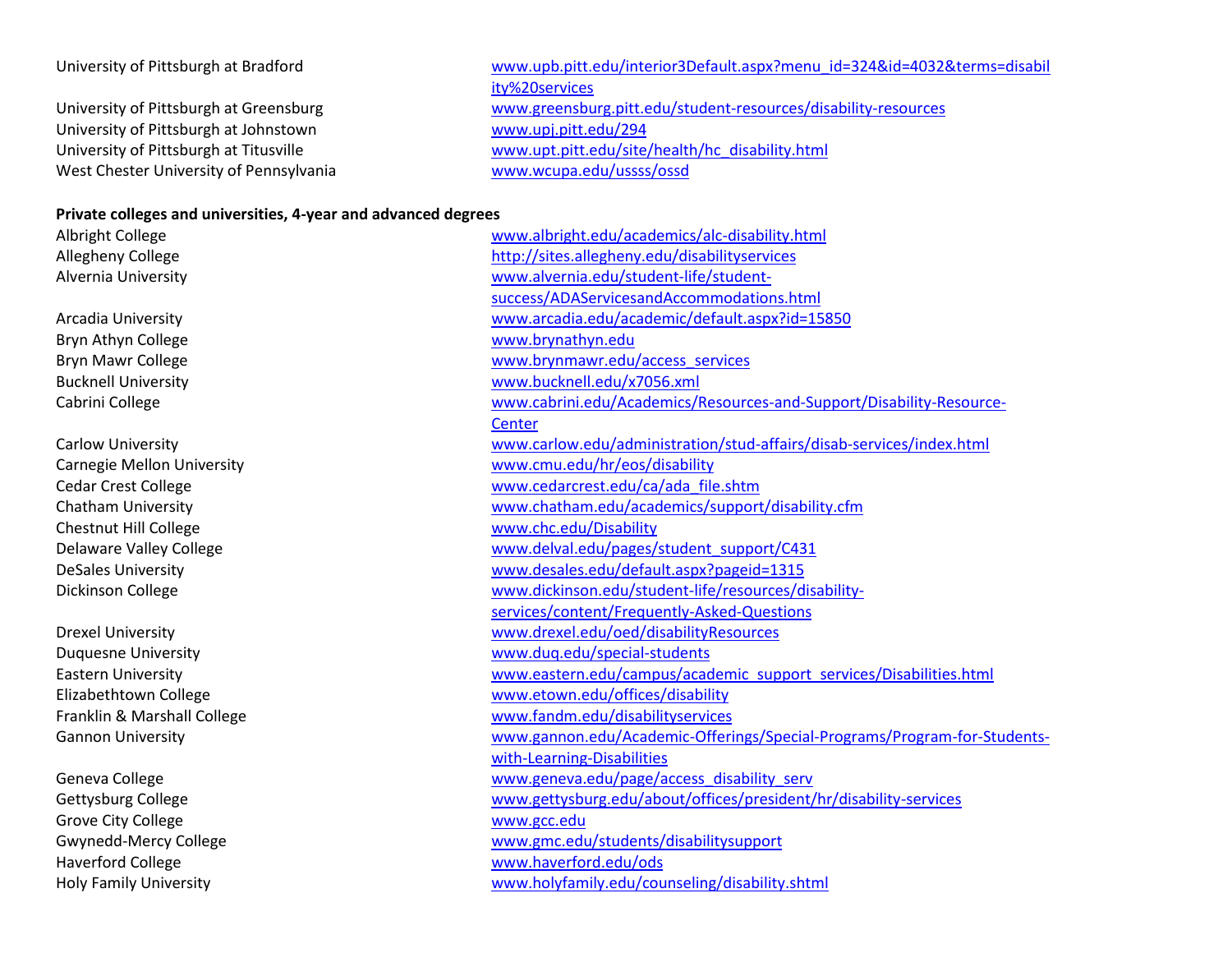University of Pittsburgh at Johnstown [www.upj.pitt.edu/294](http://www.upj.pitt.edu/294) West Chester University of Pennsylvania

University of Pittsburgh at Bradford [www.upb.pitt.edu/interior3Default.aspx?menu\\_id=324&id=4032&terms=disabil](http://www.upb.pitt.edu/interior3Default.aspx?menu_id=324&id=4032&terms=disability%20services) [ity%20services](http://www.upb.pitt.edu/interior3Default.aspx?menu_id=324&id=4032&terms=disability%20services) University of Pittsburgh at Greensburg [www.greensburg.pitt.edu/student-resources/disability-resources](http://www.greensburg.pitt.edu/student-resources/disability-resources) University of Pittsburgh at Titusville<br>
West Chester University of Pennsylvania<br>
West Chester University of Pennsylvania<br>
West Chester University of Pennsylvania

#### **Private colleges and universities, 4-year and advanced degrees**

Allegheny College <http://sites.allegheny.edu/disabilityservices> Alvernia University [www.alvernia.edu/student-life/student-](http://www.alvernia.edu/student-life/student-success/ADAServicesandAccommodations.html)Bryn Athyn College [www.brynathyn.edu](http://www.brynathyn.edu/) Bryn Mawr College [www.brynmawr.edu/access\\_services](http://www.brynmawr.edu/access_services)\_services\_services\_services\_services Bucknell University [www.bucknell.edu/x7056.xml](http://www.bucknell.edu/x7056.xml) Carnegie Mellon University [www.cmu.edu/hr/eos/disability](http://www.cmu.edu/hr/eos/disability) Cedar Crest College [www.cedarcrest.edu/ca/ada\\_file.shtm](http://www.cedarcrest.edu/ca/ada_file.shtm) Chestnut Hill College [www.chc.edu/Disability](http://www.chc.edu/Disability) Delaware Valley College [www.delval.edu/pages/student\\_support/C431](http://www.delval.edu/pages/student_support/C431) DeSales University [www.desales.edu/default.aspx?pageid=1315](http://www.desales.edu/default.aspx?pageid=1315) Drexel University [www.drexel.edu/oed/disabilityResources](http://www.drexel.edu/oed/disabilityResources) Duquesne University [www.duq.edu/special-students](http://www.duq.edu/special-students) Elizabethtown College [www.etown.edu/offices/disability](http://www.etown.edu/offices/disability) Franklin & Marshall College [www.fandm.edu/disabilityservices](http://www.fandm.edu/disabilityservices) Geneva College The College [www.geneva.edu/page/access\\_disability\\_serv](http://www.geneva.edu/page/access_disability_serv)ices-Grove City College **WARD COLLEGE WWW.gcc.edu** Gwynedd-Mercy College [www.gmc.edu/students/disabilitysupport](http://www.gmc.edu/students/disabilitysupport) Haverford College [www.haverford.edu/ods](http://www.haverford.edu/ods)

Albright College [www.albright.edu/academics/alc-disability.html](http://www.albright.edu/academics/alc-disability.html) [success/ADAServicesandAccommodations.html](http://www.alvernia.edu/student-life/student-success/ADAServicesandAccommodations.html) Arcadia University [www.arcadia.edu/academic/default.aspx?id=15850](http://www.arcadia.edu/academic/default.aspx?id=15850) Cabrini College [www.cabrini.edu/Academics/Resources-and-Support/Disability-Resource-](http://www.cabrini.edu/Academics/Resources-and-Support/Disability-Resource-Center)**[Center](http://www.cabrini.edu/Academics/Resources-and-Support/Disability-Resource-Center)** Carlow University [www.carlow.edu/administration/stud-affairs/disab-services/index.html](http://www.carlow.edu/administration/stud-affairs/disab-services/index.html) Chatham University [www.chatham.edu/academics/support/disability.cfm](http://www.chatham.edu/academics/support/disability.cfm) Dickinson College [www.dickinson.edu/student-life/resources/disability](http://www.dickinson.edu/student-life/resources/disability-services/content/Frequently-Asked-Questions)[services/content/Frequently-Asked-Questions](http://www.dickinson.edu/student-life/resources/disability-services/content/Frequently-Asked-Questions) Eastern University **Eastern University** [www.eastern.edu/campus/academic\\_support\\_services/Disabilities.html](http://www.eastern.edu/campus/academic_support_services/Disabilities.html) Gannon University [www.gannon.edu/Academic-Offerings/Special-Programs/Program-for-Students](http://www.gannon.edu/Academic-Offerings/Special-Programs/Program-for-Students-with-Learning-Disabilities)[with-Learning-Disabilities](http://www.gannon.edu/Academic-Offerings/Special-Programs/Program-for-Students-with-Learning-Disabilities) Gettysburg College [www.gettysburg.edu/about/offices/president/hr/disability-services](http://www.gettysburg.edu/about/offices/president/hr/disability-services) Holy Family University [www.holyfamily.edu/counseling/disability.shtml](http://www.holyfamily.edu/counseling/disability.shtml)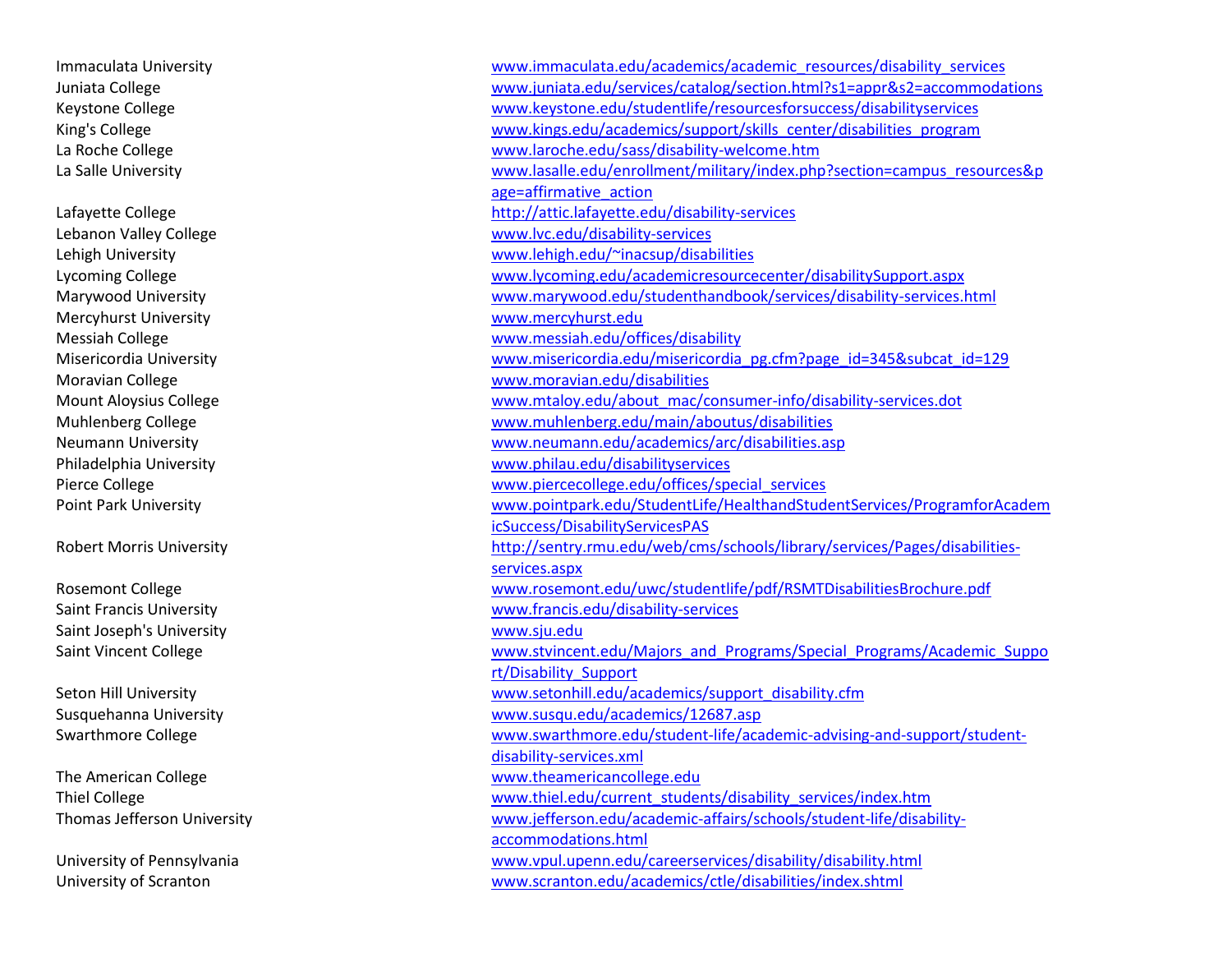Mercyhurst University [www.mercyhurst.edu](http://www.mercyhurst.edu/)

Saint Joseph's University [www.sju.edu](http://www.sju.edu/)

Immaculata University **With a Community Community** [www.immaculata.edu/academics/academic\\_resources/disability\\_services](http://www.immaculata.edu/academics/academic_resources/disability_services) Juniata College [www.juniata.edu/services/catalog/section.html?s1=appr&s2=accommodations](http://www.juniata.edu/services/catalog/section.html?s1=appr&s2=accommodations) Keystone College [www.keystone.edu/studentlife/resourcesforsuccess/disabilityservices](http://www.keystone.edu/studentlife/resourcesforsuccess/disabilityservices) King's College **Example 20** Www.kings.edu/academics/support/skills\_center/disabilities\_program La Roche College [www.laroche.edu/sass/disability-welcome.htm](http://www.laroche.edu/sass/disability-welcome.htm) La Salle University **Exercise Service Service Services** [www.lasalle.edu/enrollment/military/index.php?section=campus\\_resources&p](http://www.lasalle.edu/enrollment/military/index.php?section=campus_resources&page=affirmative_action) [age=affirmative\\_action](http://www.lasalle.edu/enrollment/military/index.php?section=campus_resources&page=affirmative_action) Lafayette College <http://attic.lafayette.edu/disability-services> Lebanon Valley College [www.lvc.edu/disability-services](http://www.lvc.edu/disability-services) Lehigh University **National State of the Contract Contract Contract Contract Contract Contract Contract Contract Contract Contract Contract Contract Contract Contract Contract Contract Contract Contract Contract Contract C** Lycoming College [www.lycoming.edu/academicresourcecenter/disabilitySupport.aspx](http://www.lycoming.edu/academicresourcecenter/disabilitySupport.aspx) Marywood University [www.marywood.edu/studenthandbook/services/disability-services.html](http://www.marywood.edu/studenthandbook/services/disability-services.html) Messiah College [www.messiah.edu/offices/disability](http://www.messiah.edu/offices/disability) Misericordia University **Wisericordia** edu/misericordia pg.cfm?page\_id=345&subcat\_id=129 Moravian College [www.moravian.edu/disabilities](http://www.moravian.edu/disabilities) Mount Aloysius College **WARE 2008** [www.mtaloy.edu/about\\_mac/consumer-info/disability-services.dot](http://www.mtaloy.edu/about_mac/consumer-info/disability-services.dot) Muhlenberg College [www.muhlenberg.edu/main/aboutus/disabilities](http://www.muhlenberg.edu/main/aboutus/disabilities) Neumann University [www.neumann.edu/academics/arc/disabilities.asp](http://www.neumann.edu/academics/arc/disabilities.asp) Philadelphia University [www.philau.edu/disabilityservices](http://www.philau.edu/disabilityservices) Pierce College entry and the [www.piercecollege.edu/offices/special\\_services](http://www.piercecollege.edu/offices/special_services) Point Park University [www.pointpark.edu/StudentLife/HealthandStudentServices/ProgramforAcadem](http://www.pointpark.edu/StudentLife/HealthandStudentServices/ProgramforAcademicSuccess/DisabilityServicesPAS) [icSuccess/DisabilityServicesPAS](http://www.pointpark.edu/StudentLife/HealthandStudentServices/ProgramforAcademicSuccess/DisabilityServicesPAS) Robert Morris University [http://sentry.rmu.edu/web/cms/schools/library/services/Pages/disabilities](http://sentry.rmu.edu/web/cms/schools/library/services/Pages/disabilities-services.aspx)[services.aspx](http://sentry.rmu.edu/web/cms/schools/library/services/Pages/disabilities-services.aspx) Rosemont College [www.rosemont.edu/uwc/studentlife/pdf/RSMTDisabilitiesBrochure.pdf](http://www.rosemont.edu/uwc/studentlife/pdf/RSMTDisabilitiesBrochure.pdf) Saint Francis University [www.francis.edu/disability-services](http://www.francis.edu/disability-services) Saint Vincent College entitleduced [www.stvincent.edu/Majors\\_and\\_Programs/Special\\_Programs/Academic\\_Suppo](http://www.stvincent.edu/Majors_and_Programs/Special_Programs/Academic_Support/Disability_Support) [rt/Disability\\_Support](http://www.stvincent.edu/Majors_and_Programs/Special_Programs/Academic_Support/Disability_Support) Seton Hill University **Seton Hill University** [www.setonhill.edu/academics/support\\_disability.cfm](http://www.setonhill.edu/academics/support_disability.cfm) Susquehanna University [www.susqu.edu/academics/12687.asp](http://www.susqu.edu/academics/12687.asp) Swarthmore College [www.swarthmore.edu/student-life/academic-advising-and-support/student](http://www.swarthmore.edu/student-life/academic-advising-and-support/student-disability-services.xml)[disability-services.xml](http://www.swarthmore.edu/student-life/academic-advising-and-support/student-disability-services.xml) The American College [www.theamericancollege.edu](http://www.theamericancollege.edu/) Thiel College **[www.thiel.edu/current\\_students/disability\\_services/index.htm](http://www.thiel.edu/current_students/disability_services/index.htm)** Thomas Jefferson University [www.jefferson.edu/academic-affairs/schools/student-life/disability](http://www.jefferson.edu/academic-affairs/schools/student-life/disability-accommodations.html)[accommodations.html](http://www.jefferson.edu/academic-affairs/schools/student-life/disability-accommodations.html) University of Pennsylvania [www.vpul.upenn.edu/careerservices/disability/disability.html](http://www.vpul.upenn.edu/careerservices/disability/disability.html) University of Scranton [www.scranton.edu/academics/ctle/disabilities/index.shtml](http://www.scranton.edu/academics/ctle/disabilities/index.shtml)